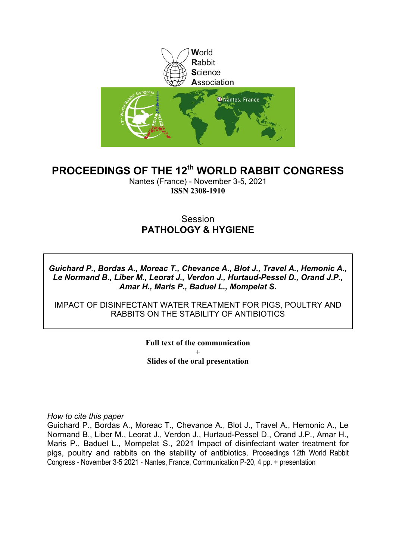

### **PROCEEDINGS OF THE 12th WORLD RABBIT CONGRESS**

Nantes (France) - November 3-5, 2021 **ISSN 2308-1910**

### **Session PATHOLOGY & HYGIENE**

*Guichard P., Bordas A., Moreac T., Chevance A., Blot J., Travel A., Hemonic A., Le Normand B., Liber M., Leorat J., Verdon J., Hurtaud-Pessel D., Orand J.P., Amar H., Maris P., Baduel L., Mompelat S.*

IMPACT OF DISINFECTANT WATER TREATMENT FOR PIGS, POULTRY AND RABBITS ON THE STABILITY OF ANTIBIOTICS

> **Full text of the communication + Slides of the oral presentation**

*How to cite this paper*

Guichard P., Bordas A., Moreac T., Chevance A., Blot J., Travel A., Hemonic A., Le Normand B., Liber M., Leorat J., Verdon J., Hurtaud-Pessel D., Orand J.P., Amar H., Maris P., Baduel L., Mompelat S., 2021 Impact of disinfectant water treatment for pigs, poultry and rabbits on the stability of antibiotics. Proceedings 12th World Rabbit Congress - November 3-5 2021 - Nantes, France, Communication P-20, 4 pp. + presentation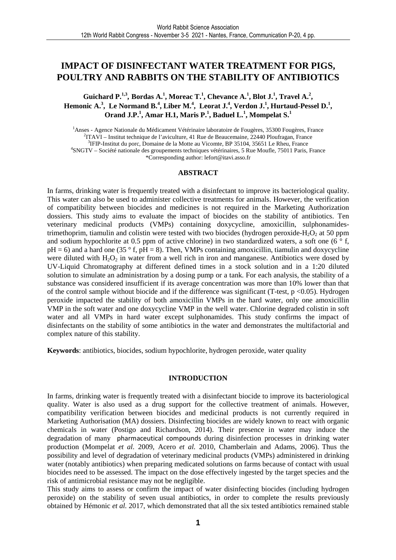### **IMPACT OF DISINFECTANT WATER TREATMENT FOR PIGS, POULTRY AND RABBITS ON THE STABILITY OF ANTIBIOTICS**

**Guichard P.**<sup>1,3</sup>, Bordas A.<sup>1</sup>, Moreac T.<sup>1</sup>, Chevance A.<sup>1</sup>, Blot J.<sup>1</sup>, Travel A.<sup>2</sup>, **Hemonic A.<sup>3</sup> , Le Normand B.<sup>4</sup> , Liber M.<sup>4</sup> , Leorat J.<sup>4</sup> , Verdon J.<sup>1</sup> , Hurtaud-Pessel D.<sup>1</sup> , Orand J.P.<sup>1</sup> , Amar H.1, Maris P.<sup>1</sup> , Baduel L.<sup>1</sup> , Mompelat S.<sup>1</sup>**

<sup>1</sup>Anses - Agence Nationale du Médicament Vétérinaire laboratoire de Fougères, 35300 Fougères, France 2 ITAVI – Institut technique de l'aviculture, 41 Rue de Beaucemaine, 22440 Ploufragan, France 3 IFIP-Institut du porc, Domaine de la Motte au Vicomte, BP 35104, 35651 Le Rheu, France 4 SNGTV – Société nationale des groupements techniques vétérinaires, 5 Rue Moufle, 75011 Paris, France \*Corresponding author: lefort@itavi.asso.fr

#### **ABSTRACT**

In farms, drinking water is frequently treated with a disinfectant to improve its bacteriological quality. This water can also be used to administer collective treatments for animals. However, the verification of compatibility between biocides and medicines is not required in the Marketing Authorization dossiers. This study aims to evaluate the impact of biocides on the stability of antibiotics. Ten veterinary medicinal products (VMPs) containing doxycycline, amoxicillin, sulphonamidestrimethoprim, tiamulin and colistin were tested with two biocides (hydrogen peroxide-H<sub>2</sub>O<sub>2</sub> at 50 ppm and sodium hypochlorite at 0.5 ppm of active chlorine) in two standardized waters, a soft one (6 $\degree$  f,  $pH = 6$ ) and a hard one (35  $\degree$  f,  $pH = 8$ ). Then, VMPs containing amoxicillin, tiamulin and doxycycline were diluted with  $H_2O_2$  in water from a well rich in iron and manganese. Antibiotics were dosed by UV-Liquid Chromatography at different defined times in a stock solution and in a 1:20 diluted solution to simulate an administration by a dosing pump or a tank. For each analysis, the stability of a substance was considered insufficient if its average concentration was more than 10% lower than that of the control sample without biocide and if the difference was significant (T-test,  $p \le 0.05$ ). Hydrogen peroxide impacted the stability of both amoxicillin VMPs in the hard water, only one amoxicillin VMP in the soft water and one doxycycline VMP in the well water. Chlorine degraded colistin in soft water and all VMPs in hard water except sulphonamides. This study confirms the impact of disinfectants on the stability of some antibiotics in the water and demonstrates the multifactorial and complex nature of this stability.

**Keywords**: antibiotics, biocides, sodium hypochlorite, hydrogen peroxide, water quality

#### **INTRODUCTION**

In farms, drinking water is frequently treated with a disinfectant biocide to improve its bacteriological quality. Water is also used as a drug support for the collective treatment of animals. However, compatibility verification between biocides and medicinal products is not currently required in Marketing Authorisation (MA) dossiers. Disinfecting biocides are widely known to react with organic chemicals in water (Postigo and Richardson, 2014). Their presence in water may induce the degradation of many pharmaceutical compounds during disinfection processes in drinking water production (Mompelat *et al.* 2009, Acero *et al.* 2010, Chamberlain and Adams, 2006). Thus the possibility and level of degradation of veterinary medicinal products (VMPs) administered in drinking water (notably antibiotics) when preparing medicated solutions on farms because of contact with usual biocides need to be assessed. The impact on the dose effectively ingested by the target species and the risk of antimicrobial resistance may not be negligible.

This study aims to assess or confirm the impact of water disinfecting biocides (including hydrogen peroxide) on the stability of seven usual antibiotics, in order to complete the results previously obtained by Hémonic *et al.* 2017, which demonstrated that all the six tested antibiotics remained stable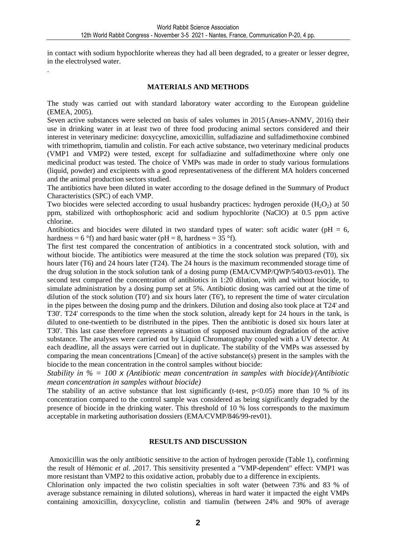in contact with sodium hypochlorite whereas they had all been degraded, to a greater or lesser degree, in the electrolysed water.

#### **MATERIALS AND METHODS**

.

The study was carried out with standard laboratory water according to the European guideline (EMEA, 2005).

Seven active substances were selected on basis of sales volumes in 2015 (Anses-ANMV, 2016) their use in drinking water in at least two of three food producing animal sectors considered and their interest in veterinary medicine: doxycycline, amoxicillin, sulfadiazine and sulfadimethoxine combined with trimethoprim, tiamulin and colistin. For each active substance, two veterinary medicinal products (VMP1 and VMP2) were tested, except for sulfadiazine and sulfadimethoxine where only one medicinal product was tested. The choice of VMPs was made in order to study various formulations (liquid, powder) and excipients with a good representativeness of the different MA holders concerned and the animal production sectors studied.

The antibiotics have been diluted in water according to the dosage defined in the Summary of Product Characteristics (SPC) of each VMP.

Two biocides were selected according to usual husbandry practices: hydrogen peroxide  $(H_2O_2)$  at 50 ppm, stabilized with orthophosphoric acid and sodium hypochlorite (NaClO) at 0.5 ppm active chlorine.

Antibiotics and biocides were diluted in two standard types of water: soft acidic water ( $pH = 6$ , hardness = 6 °f) and hard basic water (pH = 8, hardness =  $35$  °f).

The first test compared the concentration of antibiotics in a concentrated stock solution, with and without biocide. The antibiotics were measured at the time the stock solution was prepared (T0), six hours later (T6) and 24 hours later (T24). The 24 hours is the maximum recommended storage time of the drug solution in the stock solution tank of a dosing pump (EMA/CVMP/QWP/540/03-rev01). The second test compared the concentration of antibiotics in 1:20 dilution, with and without biocide, to simulate administration by a dosing pump set at 5%. Antibiotic dosing was carried out at the time of dilution of the stock solution (T0') and six hours later (T6'), to represent the time of water circulation in the pipes between the dosing pump and the drinkers. Dilution and dosing also took place at T24' and T30'. T24' corresponds to the time when the stock solution, already kept for 24 hours in the tank, is diluted to one-twentieth to be distributed in the pipes. Then the antibiotic is dosed six hours later at T30'. This last case therefore represents a situation of supposed maximum degradation of the active substance. The analyses were carried out by Liquid Chromatography coupled with a UV detector. At each deadline, all the assays were carried out in duplicate. The stability of the VMPs was assessed by comparing the mean concentrations [Cmean] of the active substance(s) present in the samples with the biocide to the mean concentration in the control samples without biocide:

*Stability in % = 100* x *(Antibiotic mean concentration in samples with biocide)/(Antibiotic mean concentration in samples without biocide)* 

The stability of an active substance that lost significantly (t-test,  $p<0.05$ ) more than 10 % of its concentration compared to the control sample was considered as being significantly degraded by the presence of biocide in the drinking water. This threshold of 10 % loss corresponds to the maximum acceptable in marketing authorisation dossiers (EMA/CVMP/846/99-rev01).

#### **RESULTS AND DISCUSSION**

Amoxicillin was the only antibiotic sensitive to the action of hydrogen peroxide (Table 1), confirming the result of Hémonic *et al*. ,2017. This sensitivity presented a "VMP-dependent" effect: VMP1 was more resistant than VMP2 to this oxidative action, probably due to a difference in excipients.

Chlorination only impacted the two colistin specialties in soft water (between 73% and 83 % of average substance remaining in diluted solutions), whereas in hard water it impacted the eight VMPs containing amoxicillin, doxycycline, colistin and tiamulin (between 24% and 90% of average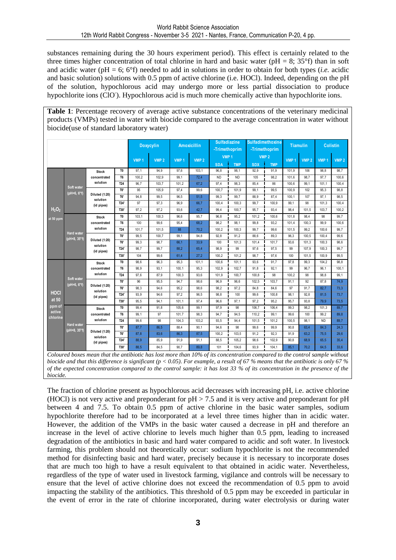substances remaining during the 30 hours experiment period). This effect is certainly related to the three times higher concentration of total chlorine in hard and basic water ( $pH = 8$ ; 35°f) than in soft and acidic water (pH = 6; 6°f) needed to add in solutions in order to obtain for both types (*i.e.* acidic and basic solution) solutions with 0.5 ppm of active chlorine (i.e. HOCl). Indeed, depending on the pH of the solution, hypochlorous acid may undergo more or less partial dissociation to produce hypochlorite ions (ClO). Hypochlorous acid is much more chemically active than hypochlorite ions.

**Table 1**: Percentage recovery of average active substance concentrations of the veterinary medicinal products (VMPs) tested in water with biocide compared to the average concentration in water without biocide(use of standard laboratory water)

|                                                      |                                        |                                                                                                                                                                                                                                                                                                                                                                                                  | <b>Doxycylin</b> |                  | <b>Amoxicillin</b> |                  | <b>Sulfadiazine</b><br>-Trimethoprim<br>VMP <sub>1</sub> |            | Sulfadimethoxine<br>-Trimethoprim<br>VMP <sub>2</sub> |            | <b>Tiamulin</b> |                  | <b>Colistin</b>  |                  |                  |
|------------------------------------------------------|----------------------------------------|--------------------------------------------------------------------------------------------------------------------------------------------------------------------------------------------------------------------------------------------------------------------------------------------------------------------------------------------------------------------------------------------------|------------------|------------------|--------------------|------------------|----------------------------------------------------------|------------|-------------------------------------------------------|------------|-----------------|------------------|------------------|------------------|------------------|
|                                                      |                                        |                                                                                                                                                                                                                                                                                                                                                                                                  |                  | VMP <sub>1</sub> | VMP <sub>2</sub>   | VMP <sub>1</sub> | VMP <sub>2</sub>                                         | <b>SDA</b> | <b>TMP</b>                                            | <b>SDX</b> | <b>TMP</b>      | VMP <sub>1</sub> | VMP <sub>2</sub> | VMP <sub>1</sub> | VMP <sub>2</sub> |
| H <sub>2</sub> O <sub>2</sub><br>at 50 ppm           | Soft water<br>$($ pH=6, 6 $\degree$ f) | <b>Stock</b>                                                                                                                                                                                                                                                                                                                                                                                     | T <sub>0</sub>   | 97.1             | 94.9               | 97.6             | 103.1                                                    | 96.8       | 98.1                                                  | 92.9       | 91,9            | 101.9            | 106              | 98.8             | 98.7             |
|                                                      |                                        | concentrated<br>solution                                                                                                                                                                                                                                                                                                                                                                         | T <sub>6</sub>   | 100,2            | 102,9              | 99,1             | 72,4                                                     | <b>ND</b>  | <b>ND</b>                                             | 105        | 98,2            | 101,6            | 98,7             | 97,7             | 100,6            |
|                                                      |                                        |                                                                                                                                                                                                                                                                                                                                                                                                  | <b>T24</b>       | 96,7             | 103,7              | 101,2            | 67,2                                                     | 97,4       | 98.3                                                  | 85,4       | 86              | 100,6            | 99,1             | 101,1            | 100,4            |
|                                                      |                                        | Diluted (1:20)<br>solution<br>(id pipes)                                                                                                                                                                                                                                                                                                                                                         | TO'              | 95               | 105,9              | 97,4             | 99,6                                                     | 100,7      | 101,9                                                 | 99,1       | 99,5            | 100,9            | 102              | 95.3             | 98.8             |
|                                                      |                                        |                                                                                                                                                                                                                                                                                                                                                                                                  | T <sub>6</sub>   | 94,8             | 99.5               | 96,5             | 51,5                                                     | 99,3       | 99.7                                                  | 88,9       | 87,4            | 100,1            | 107              | 97.1             | 98.5             |
|                                                      |                                        |                                                                                                                                                                                                                                                                                                                                                                                                  | T24'             | 97               | 97,3               | 96,9             | 66,7                                                     | 100,4      | 100,3                                                 | 99,7       | 100,9           | 99,1             | 98               | 101,3            | 100,4            |
|                                                      |                                        |                                                                                                                                                                                                                                                                                                                                                                                                  | T30'             | 97,2             | 97,2               | 93,6             | 42,7                                                     | 99,4       | 100,7                                                 | 95,7       | 93,4            | 98,4             | 101,5            | 103,7            | 100,2            |
|                                                      | <b>Hard water</b><br>(pH=8, 35°f)      | <b>Stock</b>                                                                                                                                                                                                                                                                                                                                                                                     | TO               | 103,1            | 100,3              | 96,6             | 95,7                                                     | 96,8       | 95,2                                                  | 101,2      | 100,6           | 101,8            | 98,4             | 98               | 99,7             |
|                                                      |                                        | concentrated<br>solution                                                                                                                                                                                                                                                                                                                                                                         | T6               | 100              | 99,6               | 95,4             | 68,2                                                     | 98,2       | 98,1                                                  | 99.8       | 93,2            | 101,4            | 100,3            | 99,9             | 100,6            |
|                                                      |                                        |                                                                                                                                                                                                                                                                                                                                                                                                  | <b>T24</b>       | 101,7            | 101,5              | 88               | 70,2                                                     | 100,2      | 100,3                                                 | 99,7       | 99,6            | 101,5            | 99,2             | 100,6            | 99,7             |
|                                                      |                                        | Diluted (1:20)<br>solution<br>(id pipes)                                                                                                                                                                                                                                                                                                                                                         | TO'              | 99,5             | 100,7              | 99,1             | 94,8                                                     | 92,8       | 91,2                                                  | 88,6       | 89,3            | 96,3             | 100,5            | 100,4            | 99,6             |
|                                                      |                                        |                                                                                                                                                                                                                                                                                                                                                                                                  | <b>T6'</b>       | 99,3             | 98,7               | 66,1             | 33,9                                                     | 100        | 101,3                                                 | 101,4      | 101,7           | 93,6             | 101,3            | 100,3            | 98,6             |
|                                                      |                                        |                                                                                                                                                                                                                                                                                                                                                                                                  | T24'             | 98,7             | 99,7               | 88,2<br>an an a  | $\frac{1}{65,4}$<br>ananan                               | 98.9       | 99                                                    | 97,6       | 97.5            | 99               | 107,9            | 100,3            | 99,7             |
|                                                      |                                        |                                                                                                                                                                                                                                                                                                                                                                                                  | T30'             | 104              | 99,6               | 61,4             | 27,2                                                     | 100,2      | 101,2                                                 | 98,7       | 97,6            | 100              | 101,5            | 100,9            | 99,5             |
| <b>HOCI</b><br>at 50<br>ppm of<br>active<br>chlorine | Soft water<br>$($ pH=6, 6 $\degree$ f) | <b>Stock</b>                                                                                                                                                                                                                                                                                                                                                                                     | TO               | 98,6             | 96,3               | 95,3             | 101,1                                                    | 100,6      | 101,1                                                 | 93,6       | 91,7            | 97,8             | 99,3             | 104,2            | 98,8             |
|                                                      |                                        | concentrated<br>solution                                                                                                                                                                                                                                                                                                                                                                         | T6               | 98,9             | 93.1               | 100, 1           | 95,3                                                     | 102,9      | 102,7                                                 | 91,8       | 92,1            | 99               | 96,7             | 96,1             | 100, 1           |
|                                                      |                                        |                                                                                                                                                                                                                                                                                                                                                                                                  | <b>T24</b>       | 97,6             | 87,9               | 100,3            | 93,6                                                     | 101,9      | 100,7                                                 | 100,8      | 98              | 100,2            | 98               | 98,8             | 99,1             |
|                                                      |                                        | Diluted (1:20)<br>solution<br>(id pipes)                                                                                                                                                                                                                                                                                                                                                         | TO'              | 96               | 95,5               | 94,7             | 98.6                                                     | 96,9       | 96,6                                                  | 102,5      | 103,7           | 91,1             | 92               | 87,8             | 74,9             |
|                                                      |                                        |                                                                                                                                                                                                                                                                                                                                                                                                  | T6'              | 98,3             | 94,6               | 95,2             | 98,6                                                     | 98,2       | 97,2                                                  | 84.8       | 84,6            | 97               | 91,7             | 82,7             | 73,3             |
|                                                      |                                        |                                                                                                                                                                                                                                                                                                                                                                                                  | T24'             | 93,9             | 94,6               | 97,2             | 96,5                                                     | 98.8       | 100                                                   | 99.6       | 100,8           | 98,1             | 92,8             | 81,5             | 73,7             |
|                                                      |                                        |                                                                                                                                                                                                                                                                                                                                                                                                  | T30'             | 95,5             | 94,1               | 101, 1           | 97,4                                                     | 96,6       | 97,1                                                  | 97,2       | 95,2            | 95,7             | 93,8             | 79,9             | 73,5             |
|                                                      | <b>Hard water</b><br>(pH=8, 35°f)      | <b>Stock</b>                                                                                                                                                                                                                                                                                                                                                                                     | TO               | 99,4             | 91,8               | 105,6            | 99.1                                                     | 97,9       | 98                                                    | 106,7      | 106,4           | 99,3             | 98,2             | 101,3            | 89,7<br>ستست     |
|                                                      |                                        | concentrated<br>solution                                                                                                                                                                                                                                                                                                                                                                         | T6               | 99,1             | 97                 | 101,7            | 98.3                                                     | 94,7       | 94,5                                                  | 110,2      | 99,1            | 99,6             | 100              | 99,2             | 89,8             |
|                                                      |                                        |                                                                                                                                                                                                                                                                                                                                                                                                  | <b>T24</b>       | 99,6             | 98                 | 104,3            | 103,2                                                    | 93.5       | 94,4                                                  | 101,5      | 101,2           | 100,5            | 98,1             | <b>ND</b>        | 89,7             |
|                                                      |                                        | Diluted (1:20)<br>solution<br>(id pipes)                                                                                                                                                                                                                                                                                                                                                         | TO'              | 87,7             | 86.5               | 88,4             | 90,1                                                     | 94,6       | 98                                                    | 99.6       | 99,9            | 90,8             | 63,4             | 84,3             | 24,3             |
|                                                      |                                        |                                                                                                                                                                                                                                                                                                                                                                                                  | T <sub>6</sub>   | 87,8             | 83,6               | 86,3             | 87,5                                                     | 100,2      | 103,5                                                 | 91,2       | 92,3            | 91,9             | 63,2             | 75,5<br>للمست    | 29,6<br>للمستند  |
|                                                      |                                        |                                                                                                                                                                                                                                                                                                                                                                                                  | T24'             | 88,9             | 85,9               | 91,9             | 91.1                                                     | 88,5       | 105,2                                                 | 98,6       | 102,9           | 90,8             | 68,9             | 65,5             | 35,4             |
|                                                      |                                        |                                                                                                                                                                                                                                                                                                                                                                                                  | T30'             | 88,5             | 84,5               | 90,7             | 89,8                                                     | 101        | 104,6                                                 | 93,9       | 104,1           | 85,1             | 70,2             | 64,5             | 33,6             |
|                                                      |                                        | Coloured boxes mean that the antibiotic has lost more than 10% of its concentration compared to the control sample without<br>biocide and that this difference is significant ( $p < 0.05$ ). For example, a result of 67 % means that the antibiotic is only 67 %<br>of the expected concentration compared to the control sample: it has lost 33 % of its concentration in the presence of the |                  |                  |                    |                  |                                                          |            |                                                       |            |                 |                  |                  |                  |                  |

The fraction of chlorine present as hypochlorous acid decreases with increasing pH, i.e. active chlorine (HOCl) is not very active and preponderant for  $pH > 7.5$  and it is very active and preponderant for  $pH$ between 4 and 7.5. To obtain 0.5 ppm of active chlorine in the basic water samples, sodium hypochlorite therefore had to be incorporated at a level three times higher than in acidic water. However, the addition of the VMPs in the basic water caused a decrease in pH and therefore an increase in the level of active chlorine to levels much higher than 0.5 ppm, leading to increased degradation of the antibiotics in basic and hard water compared to acidic and soft water. In livestock farming, this problem should not theoretically occur: sodium hypochlorite is not the recommended method for disinfecting basic and hard water, precisely because it is necessary to incorporate doses that are much too high to have a result equivalent to that obtained in acidic water. Nevertheless, regardless of the type of water used in livestock farming, vigilance and controls will be necessary to ensure that the level of active chlorine does not exceed the recommendation of 0.5 ppm to avoid impacting the stability of the antibiotics. This threshold of 0.5 ppm may be exceeded in particular in the event of error in the rate of chlorine incorporated, during water electrolysis or during water

*biocide.*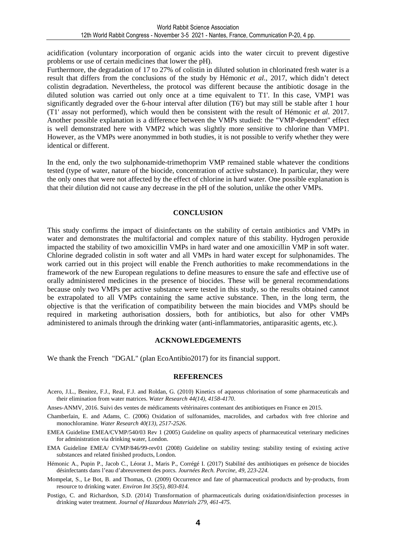acidification (voluntary incorporation of organic acids into the water circuit to prevent digestive problems or use of certain medicines that lower the pH).

Furthermore, the degradation of 17 to 27% of colistin in diluted solution in chlorinated fresh water is a result that differs from the conclusions of the study by Hémonic *et al.*, 2017, which didn't detect colistin degradation. Nevertheless, the protocol was different because the antibiotic dosage in the diluted solution was carried out only once at a time equivalent to T1'. In this case, VMP1 was significantly degraded over the 6-hour interval after dilution (T6') but may still be stable after 1 hour (T1' assay not performed), which would then be consistent with the result of Hémonic *et al.* 2017. Another possible explanation is a difference between the VMPs studied: the "VMP-dependent" effect is well demonstrated here with VMP2 which was slightly more sensitive to chlorine than VMP1. However, as the VMPs were anonymmed in both studies, it is not possible to verify whether they were identical or different.

In the end, only the two sulphonamide-trimethoprim VMP remained stable whatever the conditions tested (type of water, nature of the biocide, concentration of active substance). In particular, they were the only ones that were not affected by the effect of chlorine in hard water. One possible explanation is that their dilution did not cause any decrease in the pH of the solution, unlike the other VMPs.

#### **CONCLUSION**

This study confirms the impact of disinfectants on the stability of certain antibiotics and VMPs in water and demonstrates the multifactorial and complex nature of this stability. Hydrogen peroxide impacted the stability of two amoxicillin VMPs in hard water and one amoxicillin VMP in soft water. Chlorine degraded colistin in soft water and all VMPs in hard water except for sulphonamides. The work carried out in this project will enable the French authorities to make recommendations in the framework of the new European regulations to define measures to ensure the safe and effective use of orally administered medicines in the presence of biocides. These will be general recommendations because only two VMPs per active substance were tested in this study, so the results obtained cannot be extrapolated to all VMPs containing the same active substance. Then, in the long term, the objective is that the verification of compatibility between the main biocides and VMPs should be required in marketing authorisation dossiers, both for antibiotics, but also for other VMPs administered to animals through the drinking water (anti-inflammatories, antiparasitic agents, etc.).

#### **ACKNOWLEDGEMENTS**

We thank the French "DGAL" (plan EcoAntibio2017) for its financial support.

#### **REFERENCES**

- Acero, J.L., Benitez, F.J., Real, F.J. and Roldan, G. (2010) Kinetics of aqueous chlorination of some pharmaceuticals and their elimination from water matrices. *Water Research 44(14), 4158-4170*.
- Anses-ANMV, 2016. Suivi des ventes de médicaments vétérinaires contenant des antibiotiques en France en 2015.
- Chamberlain, E. and Adams, C. (2006) Oxidation of sulfonamides, macrolides, and carbadox with free chlorine and monochloramine. *Water Research 40(13), 2517-2526*.
- EMEA Guideline EMEA/CVMP/540/03 Rev 1 (2005) Guideline on quality aspects of pharmaceutical veterinary medicines for administration via drinking water, London.
- EMA Guideline EMEA/ CVMP/846/99-rev01 (2008) Guideline on stability testing: stability testing of existing active substances and related finished products, London.
- Hémonic A., Pupin P., Jacob C., Léorat J., Maris P., Corrégé I. (2017) Stabilité des antibiotiques en présence de biocides désinfectants dans l'eau d'abreuvement des porcs. *Journées Rech. Porcine, 49, 223-224.*
- Mompelat, S., Le Bot, B. and Thomas, O. (2009) Occurrence and fate of pharmaceutical products and by-products, from resource to drinking water. *Environ Int 35(5), 803-814.*
- Postigo, C. and Richardson, S.D. (2014) Transformation of pharmaceuticals during oxidation/disinfection processes in drinking water treatment. *Journal of Hazardous Materials 279, 461-475.*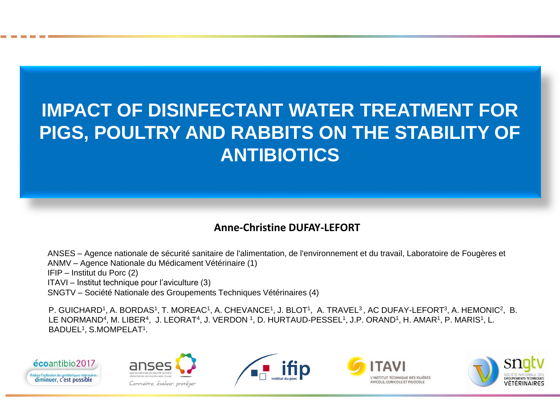# **IMPACT OF DISINFECTANT WATER TREATMENT FOR PIGS, POULTRY AND RABBITS ON THE STABILITY OF ANTIBIOTICS**

### **Anne-Christine DUFAY-LEFORT**

ANSES – Agence nationale de sécurité sanitaire de l'alimentation, de l'environnement et du travail, Laboratoire de Fougères et ANMV – Agence Nationale du Médicament Vétérinaire (1) IFIP – Institut du Porc (2) ITAVI – Institut technique pour l'aviculture (3) SNGTV – Société Nationale des Groupements Techniques Vétérinaires (4)

P. GUICHARD<sup>1</sup>, A. BORDAS<sup>1</sup>, T. MOREAC<sup>1</sup>, A. CHEVANCE<sup>1</sup>, J. BLOT<sup>1</sup>, A. TRAVEL<sup>3</sup>, AC DUFAY-LEFORT<sup>3</sup>, A. HEMONIC<sup>2</sup>, B. LE NORMAND<sup>4</sup>, M. LIBER<sup>4</sup>, J. LEORAT<sup>4</sup>, J. VERDON <sup>1</sup>, D. HURTAUD-PESSEL<sup>1</sup>, J.P. ORAND<sup>1</sup>, H. AMAR<sup>1</sup>, P. MARIS<sup>1</sup>, L. BADUEL<sup>1</sup> , S.MOMPELAT<sup>1</sup> .









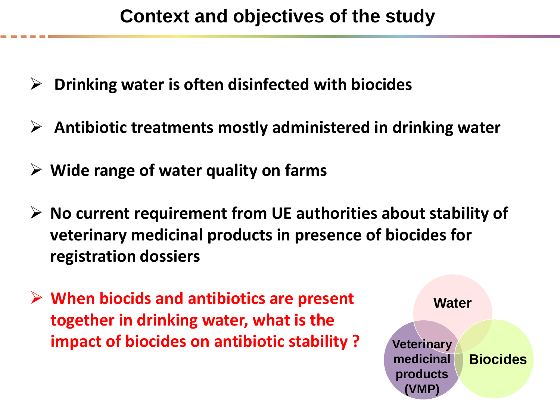### **Context and objectives of the study**

- **Drinking water is often disinfected with biocides**
- **Antibiotic treatments mostly administered in drinking water**
- **Wide range of water quality on farms**
- **No current requirement from UE authorities about stability of veterinary medicinal products in presence of biocides for registration dossiers**
- **When biocids and antibiotics are present together in drinking water, what is the impact of biocides on antibiotic stability ?**

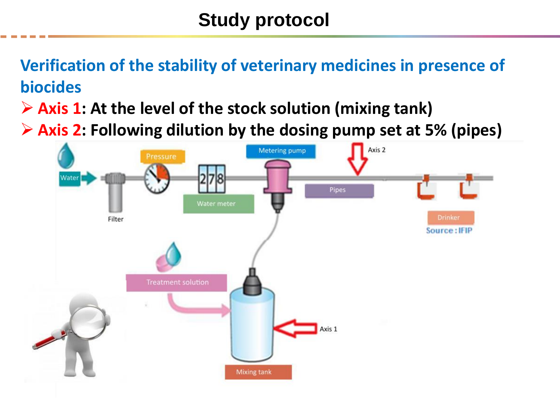# **Study protocol**

**Verification of the stability of veterinary medicines in presence of biocides**

**Axis 1: At the level of the stock solution (mixing tank)**

**Axis 2: Following dilution by the dosing pump set at 5% (pipes)**

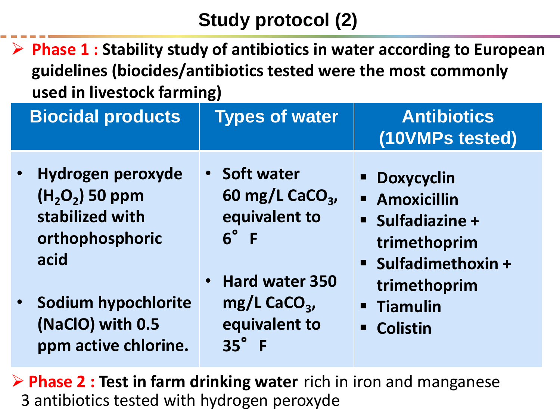## **Study protocol (2)**

 **Phase 1 : Stability study of antibiotics in water according to European guidelines (biocides/antibiotics tested were the most commonly used in livestock farming)**

| <b>Biocidal products</b>                                                                                                                                           | <b>Types of water</b>                                                                                                                                                          | <b>Antibiotics</b><br>(10VMPs tested)                                                                                                                                                             |
|--------------------------------------------------------------------------------------------------------------------------------------------------------------------|--------------------------------------------------------------------------------------------------------------------------------------------------------------------------------|---------------------------------------------------------------------------------------------------------------------------------------------------------------------------------------------------|
| Hydrogen peroxyde<br>$\bullet$<br>$(H, O, 50$ ppm<br>stabilized with<br>orthophosphoric<br>acid<br>Sodium hypochlorite<br>(NaClO) with 0.5<br>ppm active chlorine. | • Soft water<br>60 mg/L CaCO <sub>3</sub><br>equivalent to<br>$6^\circ$ F<br><b>Hard water 350</b><br>$\bullet$<br>$mg/L$ CaCO <sub>3</sub> ,<br>equivalent to<br>$35^\circ$ F | <b>- Doxycyclin</b><br><b>Amoxicillin</b><br><b>Sulfadiazine +</b><br>trimethoprim<br><b>Sulfadimethoxin +</b><br>trimethoprim<br>Tiamulin<br>$\blacksquare$<br><b>Colistin</b><br>$\blacksquare$ |

 **Phase 2 : Test in farm drinking water** rich in iron and manganese 3 antibiotics tested with hydrogen peroxyde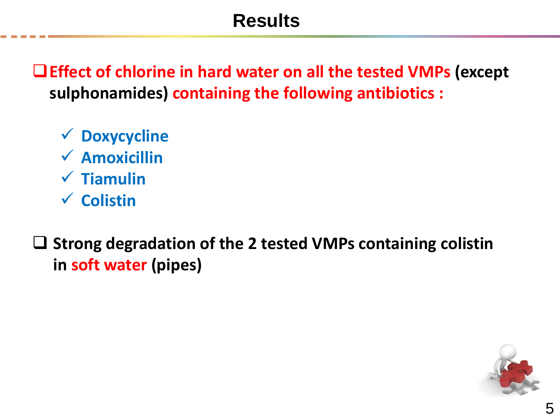## **Results**

**Effect of chlorine in hard water on all the tested VMPs (except sulphonamides) containing the following antibiotics :**

- **Doxycycline Amoxicillin Tiamulin Colistin**
- **Strong degradation of the 2 tested VMPs containing colistin in soft water (pipes)**

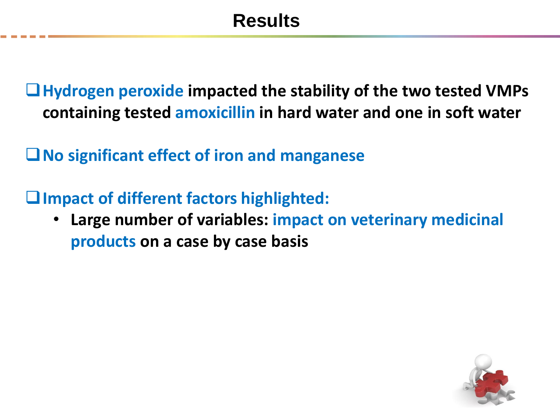**Hydrogen peroxide impacted the stability of the two tested VMPs containing tested amoxicillin in hard water and one in soft water**

**No significant effect of iron and manganese**

**Impact of different factors highlighted:** 

• **Large number of variables: impact on veterinary medicinal products on a case by case basis**

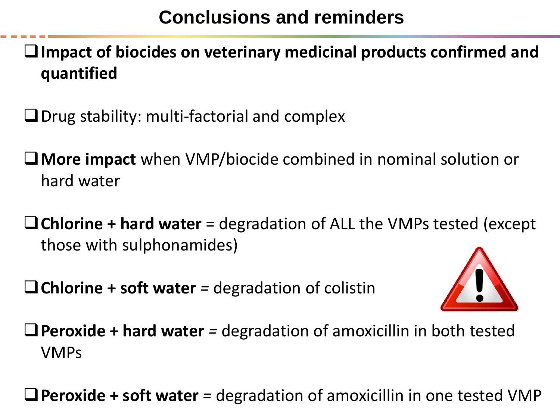## **Conclusions and reminders**

**Impact of biocides on veterinary medicinal products confirmed and quantified**

 $\Box$  Drug stability: multi-factorial and complex

- **More impact** when VMP/biocide combined in nominal solution or hard water
- **Chlorine + hard water** = degradation of ALL the VMPs tested (except those with sulphonamides)

**Chlorine + soft water** *=* degradation of colistin



**Peroxide + hard water** *=* degradation of amoxicillin in both tested VMPs

**Peroxide + soft water** *=* degradation of amoxicillin in one tested VMP